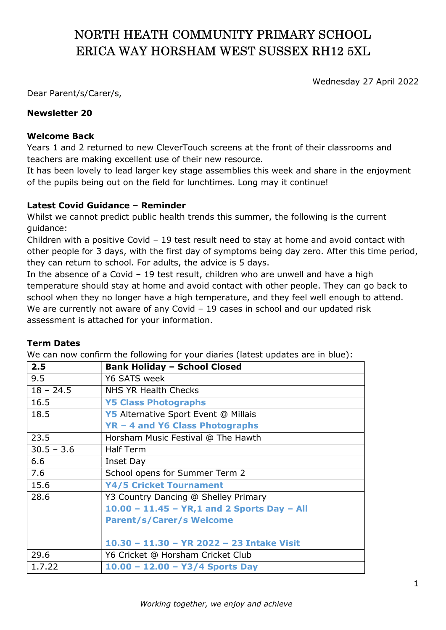# NORTH HEATH COMMUNITY PRIMARY SCHOOL ERICA WAY HORSHAM WEST SUSSEX RH12 5XL

Wednesday 27 April 2022

Dear Parent/s/Carer/s,

# Newsletter 20

### Welcome Back

Years 1 and 2 returned to new CleverTouch screens at the front of their classrooms and teachers are making excellent use of their new resource.

It has been lovely to lead larger key stage assemblies this week and share in the enjoyment of the pupils being out on the field for lunchtimes. Long may it continue!

### Latest Covid Guidance – Reminder

Whilst we cannot predict public health trends this summer, the following is the current guidance:

Children with a positive Covid – 19 test result need to stay at home and avoid contact with other people for 3 days, with the first day of symptoms being day zero. After this time period, they can return to school. For adults, the advice is 5 days.

In the absence of a Covid – 19 test result, children who are unwell and have a high temperature should stay at home and avoid contact with other people. They can go back to school when they no longer have a high temperature, and they feel well enough to attend. We are currently not aware of any Covid – 19 cases in school and our updated risk assessment is attached for your information.

#### Term Dates

We can now confirm the following for your diaries (latest updates are in blue):

| 2.5          | <b>Bank Holiday - School Closed</b>            |
|--------------|------------------------------------------------|
| 9.5          | Y6 SATS week                                   |
| $18 - 24.5$  | NHS YR Health Checks                           |
| 16.5         | <b>Y5 Class Photographs</b>                    |
| 18.5         | Y5 Alternative Sport Event @ Millais           |
|              | YR - 4 and Y6 Class Photographs                |
| 23.5         | Horsham Music Festival @ The Hawth             |
| $30.5 - 3.6$ | <b>Half Term</b>                               |
| 6.6          | Inset Day                                      |
| 7.6          | School opens for Summer Term 2                 |
| 15.6         | <b>Y4/5 Cricket Tournament</b>                 |
| 28.6         | Y3 Country Dancing @ Shelley Primary           |
|              | $10.00 - 11.45 - YR, 1$ and 2 Sports Day - All |
|              | <b>Parent/s/Carer/s Welcome</b>                |
|              |                                                |
|              | 10.30 - 11.30 - YR 2022 - 23 Intake Visit      |
| 29.6         | Y6 Cricket @ Horsham Cricket Club              |
| 1.7.22       | $10.00 - 12.00 - Y3/4$ Sports Day              |